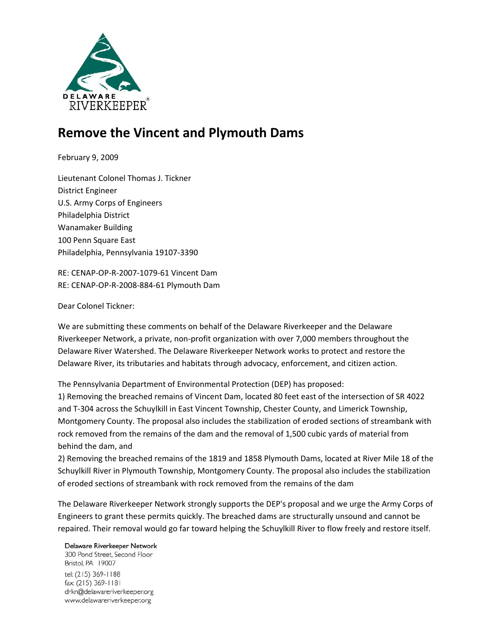

## **Remove the Vincent and Plymouth Dams**

February 9, 2009

Lieutenant Colonel Thomas J. Tickner District Engineer U.S. Army Corps of Engineers Philadelphia District Wanamaker Building 100 Penn Square East Philadelphia, Pennsylvania 19107‐3390

RE: CENAP‐OP‐R‐2007‐1079‐61 Vincent Dam RE: CENAP‐OP‐R‐2008‐884‐61 Plymouth Dam

## Dear Colonel Tickner:

We are submitting these comments on behalf of the Delaware Riverkeeper and the Delaware Riverkeeper Network, a private, non‐profit organization with over 7,000 members throughout the Delaware River Watershed. The Delaware Riverkeeper Network works to protect and restore the Delaware River, its tributaries and habitats through advocacy, enforcement, and citizen action.

The Pennsylvania Department of Environmental Protection (DEP) has proposed:

1) Removing the breached remains of Vincent Dam, located 80 feet east of the intersection of SR 4022 and T‐304 across the Schuylkill in East Vincent Township, Chester County, and Limerick Township, Montgomery County. The proposal also includes the stabilization of eroded sections of streambank with rock removed from the remains of the dam and the removal of 1,500 cubic yards of material from behind the dam, and

2) Removing the breached remains of the 1819 and 1858 Plymouth Dams, located at River Mile 18 of the Schuylkill River in Plymouth Township, Montgomery County. The proposal also includes the stabilization of eroded sections of streambank with rock removed from the remains of the dam

The Delaware Riverkeeper Network strongly supports the DEP's proposal and we urge the Army Corps of Engineers to grant these permits quickly. The breached dams are structurally unsound and cannot be repaired. Their removal would go far toward helping the Schuylkill River to flow freely and restore itself.

## Delaware Riverkeeper Network

300 Pond Street, Second Floor Bristol, PA 19007 tel: (215) 369-1188 fax: (215) 369-1181 drkn@delawareriverkeeper.org www.delawareriverkeeper.org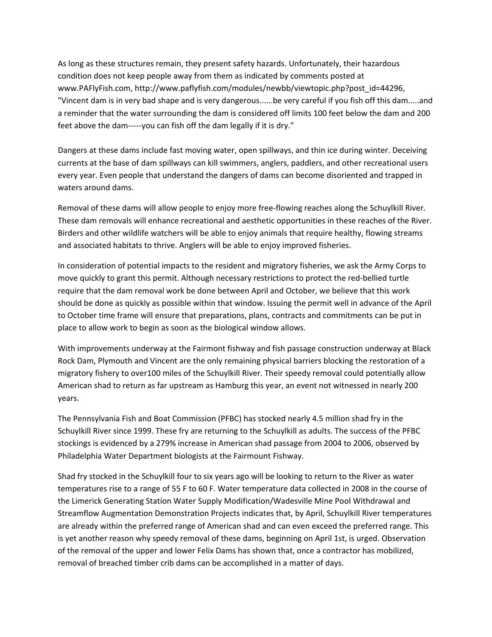As long as these structures remain, they present safety hazards. Unfortunately, their hazardous condition does not keep people away from them as indicated by comments posted at www.PAFlyFish.com, http://www.paflyfish.com/modules/newbb/viewtopic.php?post\_id=44296, "Vincent dam is in very bad shape and is very dangerous......be very careful if you fish off this dam.....and a reminder that the water surrounding the dam is considered off limits 100 feet below the dam and 200 feet above the dam-----you can fish off the dam legally if it is dry."

Dangers at these dams include fast moving water, open spillways, and thin ice during winter. Deceiving currents at the base of dam spillways can kill swimmers, anglers, paddlers, and other recreational users every year. Even people that understand the dangers of dams can become disoriented and trapped in waters around dams.

Removal of these dams will allow people to enjoy more free‐flowing reaches along the Schuylkill River. These dam removals will enhance recreational and aesthetic opportunities in these reaches of the River. Birders and other wildlife watchers will be able to enjoy animals that require healthy, flowing streams and associated habitats to thrive. Anglers will be able to enjoy improved fisheries.

In consideration of potential impacts to the resident and migratory fisheries, we ask the Army Corps to move quickly to grant this permit. Although necessary restrictions to protect the red-bellied turtle require that the dam removal work be done between April and October, we believe that this work should be done as quickly as possible within that window. Issuing the permit well in advance of the April to October time frame will ensure that preparations, plans, contracts and commitments can be put in place to allow work to begin as soon as the biological window allows.

With improvements underway at the Fairmont fishway and fish passage construction underway at Black Rock Dam, Plymouth and Vincent are the only remaining physical barriers blocking the restoration of a migratory fishery to over100 miles of the Schuylkill River. Their speedy removal could potentially allow American shad to return as far upstream as Hamburg this year, an event not witnessed in nearly 200 years.

The Pennsylvania Fish and Boat Commission (PFBC) has stocked nearly 4.5 million shad fry in the Schuylkill River since 1999. These fry are returning to the Schuylkill as adults. The success of the PFBC stockings is evidenced by a 279% increase in American shad passage from 2004 to 2006, observed by Philadelphia Water Department biologists at the Fairmount Fishway.

Shad fry stocked in the Schuylkill four to six years ago will be looking to return to the River as water temperatures rise to a range of 55 F to 60 F. Water temperature data collected in 2008 in the course of the Limerick Generating Station Water Supply Modification/Wadesville Mine Pool Withdrawal and Streamflow Augmentation Demonstration Projects indicates that, by April, Schuylkill River temperatures are already within the preferred range of American shad and can even exceed the preferred range. This is yet another reason why speedy removal of these dams, beginning on April 1st, is urged. Observation of the removal of the upper and lower Felix Dams has shown that, once a contractor has mobilized, removal of breached timber crib dams can be accomplished in a matter of days.